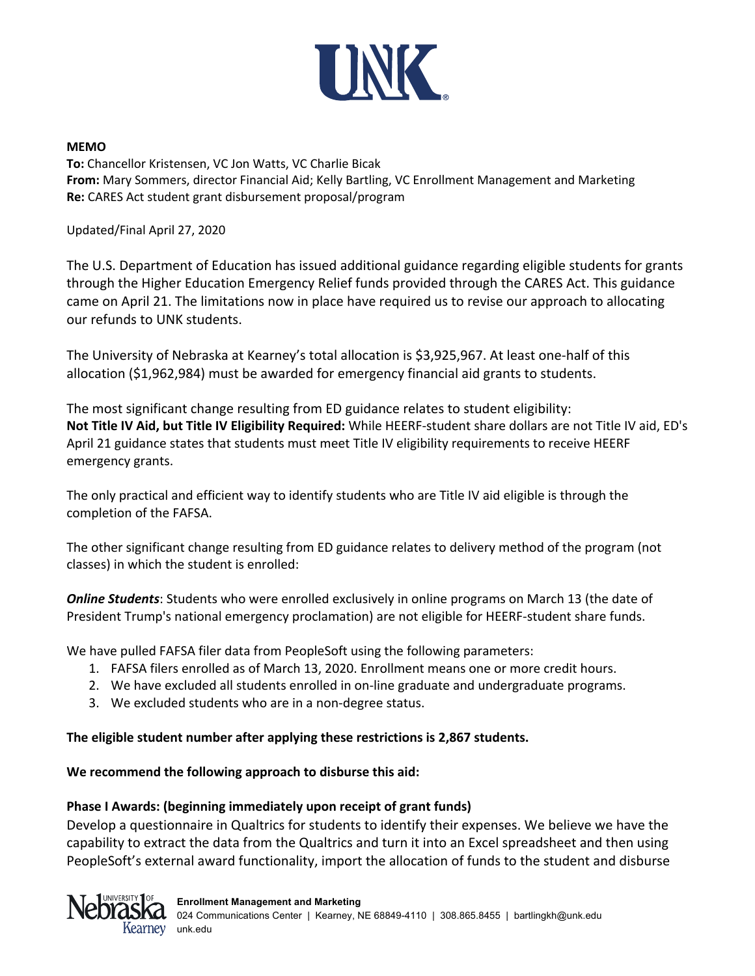

### **MEMO**

**To:** Chancellor Kristensen, VC Jon Watts, VC Charlie Bicak **From:** Mary Sommers, director Financial Aid; Kelly Bartling, VC Enrollment Management and Marketing **Re:** CARES Act student grant disbursement proposal/program

Updated/Final April 27, 2020

The U.S. Department of Education has issued additional guidance regarding eligible students for grants through the Higher Education Emergency Relief funds provided through the CARES Act. This guidance came on April 21. The limitations now in place have required us to revise our approach to allocating our refunds to UNK students.

The University of Nebraska at Kearney's total allocation is \$3,925,967. At least one-half of this allocation (\$1,962,984) must be awarded for emergency financial aid grants to students.

The most significant change resulting from ED guidance relates to student eligibility: **Not Title IV Aid, but Title IV Eligibility Required:** While HEERF-student share dollars are not Title IV aid, ED's April 21 guidance states that students must meet Title IV eligibility requirements to receive HEERF emergency grants.

The only practical and efficient way to identify students who are Title IV aid eligible is through the completion of the FAFSA.

The other significant change resulting from ED guidance relates to delivery method of the program (not classes) in which the student is enrolled:

*Online Students*: Students who were enrolled exclusively in online programs on March 13 (the date of President Trump's national emergency proclamation) are not eligible for HEERF-student share funds.

We have pulled FAFSA filer data from PeopleSoft using the following parameters:

- 1. FAFSA filers enrolled as of March 13, 2020. Enrollment means one or more credit hours.
- 2. We have excluded all students enrolled in on-line graduate and undergraduate programs.
- 3. We excluded students who are in a non-degree status.

## **The eligible student number after applying these restrictions is 2,867 students.**

## **We recommend the following approach to disburse this aid:**

## **Phase I Awards: (beginning immediately upon receipt of grant funds)**

Develop a questionnaire in Qualtrics for students to identify their expenses. We believe we have the capability to extract the data from the Qualtrics and turn it into an Excel spreadsheet and then using PeopleSoft's external award functionality, import the allocation of funds to the student and disburse